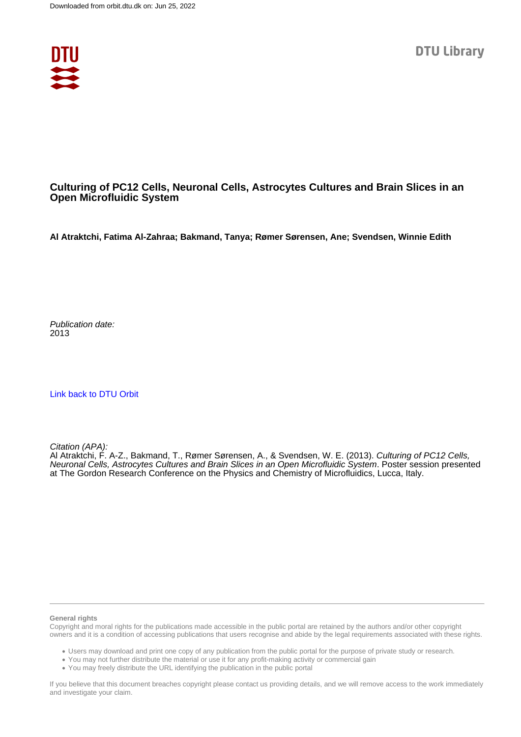

## **Culturing of PC12 Cells, Neuronal Cells, Astrocytes Cultures and Brain Slices in an Open Microfluidic System**

**Al Atraktchi, Fatima Al-Zahraa; Bakmand, Tanya; Rømer Sørensen, Ane; Svendsen, Winnie Edith**

Publication date: 2013

[Link back to DTU Orbit](https://orbit.dtu.dk/en/publications/75bd9fdb-cfa7-41ec-8a27-f4c7bb5b0c83)

Citation (APA):

Al Atraktchi, F. A-Z., Bakmand, T., Rømer Sørensen, A., & Svendsen, W. E. (2013). Culturing of PC12 Cells, Neuronal Cells, Astrocytes Cultures and Brain Slices in an Open Microfluidic System. Poster session presented at The Gordon Research Conference on the Physics and Chemistry of Microfluidics, Lucca, Italy.

## **General rights**

Copyright and moral rights for the publications made accessible in the public portal are retained by the authors and/or other copyright owners and it is a condition of accessing publications that users recognise and abide by the legal requirements associated with these rights.

Users may download and print one copy of any publication from the public portal for the purpose of private study or research.

- You may not further distribute the material or use it for any profit-making activity or commercial gain
- You may freely distribute the URL identifying the publication in the public portal

If you believe that this document breaches copyright please contact us providing details, and we will remove access to the work immediately and investigate your claim.